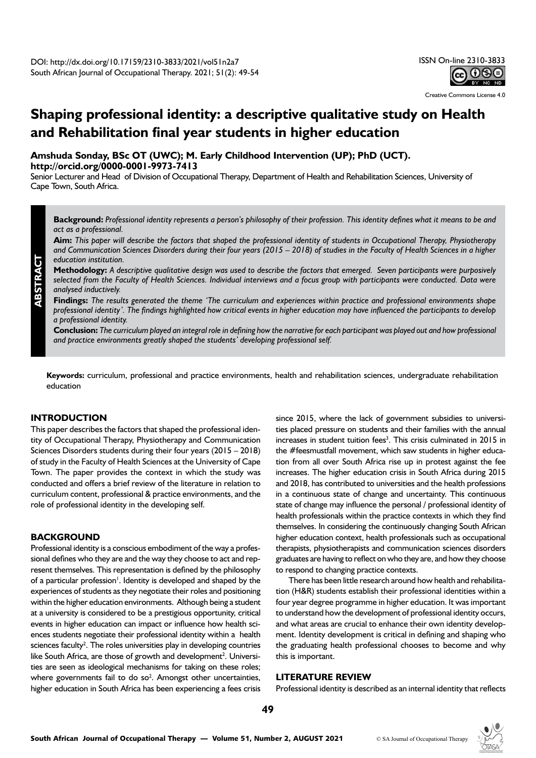

Creative Commons License 4.0

# **Shaping professional identity: a descriptive qualitative study on Health and Rehabilitation final year students in higher education**

**Amshuda Sonday, BSc OT (UWC); M. Early Childhood Intervention (UP); PhD (UCT). <http://orcid.org/0000-0001-9973-7413>**

Senior Lecturer and Head of Division of Occupational Therapy, Department of Health and Rehabilitation Sciences, University of Cape Town, South Africa.

**Background:** *Professional identity represents a person's philosophy of their profession. This identity defines what it means to be and act as a professional.* 

**Aim:** *This paper will describe the factors that shaped the professional identity of students in Occupational Therapy, Physiotherapy and Communication Sciences Disorders during their four years (2015 – 2018) of studies in the Faculty of Health Sciences in a higher education institution.* 

**Methodology:** *A descriptive qualitative design was used to describe the factors that emerged. Seven participants were purposively selected from the Faculty of Health Sciences. Individual interviews and a focus group with participants were conducted. Data were analysed inductively.* 

**Findings:** *The results generated the theme 'The curriculum and experiences within practice and professional environments shape professional identity'. The findings highlighted how critical events in higher education may have influenced the participants to develop a professional identity.* 

**Conclusion:** *The curriculum played an integral role in defining how the narrative for each participant was played out and how professional and practice environments greatly shaped the students' developing professional self.* 

**Keywords:** curriculum, professional and practice environments, health and rehabilitation sciences, undergraduate rehabilitation education

# **INTRODUCTION**

This paper describes the factors that shaped the professional identity of Occupational Therapy, Physiotherapy and Communication Sciences Disorders students during their four years (2015 – 2018) of study in the Faculty of Health Sciences at the University of Cape Town. The paper provides the context in which the study was conducted and offers a brief review of the literature in relation to curriculum content, professional & practice environments, and the role of professional identity in the developing self.

## **BACKGROUND**

Professional identity is a conscious embodiment of the way a professional defines who they are and the way they choose to act and represent themselves. This representation is defined by the philosophy of a particular profession<sup>1</sup>. Identity is developed and shaped by the experiences of students as they negotiate their roles and positioning within the higher education environments. Although being a student at a university is considered to be a prestigious opportunity, critical events in higher education can impact or influence how health sciences students negotiate their professional identity within a health sciences faculty<sup>2</sup>. The roles universities play in developing countries like South Africa, are those of growth and development<sup>2</sup>. Universities are seen as ideological mechanisms for taking on these roles; where governments fail to do so<sup>2</sup>. Amongst other uncertainties, higher education in South Africa has been experiencing a fees crisis since 2015, where the lack of government subsidies to universities placed pressure on students and their families with the annual increases in student tuition fees<sup>3</sup>. This crisis culminated in 2015 in the #feesmustfall movement, which saw students in higher education from all over South Africa rise up in protest against the fee increases. The higher education crisis in South Africa during 2015 and 2018, has contributed to universities and the health professions in a continuous state of change and uncertainty. This continuous state of change may influence the personal / professional identity of health professionals within the practice contexts in which they find themselves. In considering the continuously changing South African higher education context, health professionals such as occupational therapists, physiotherapists and communication sciences disorders graduates are having to reflect on who they are, and how they choose to respond to changing practice contexts.

There has been little research around how health and rehabilitation (H&R) students establish their professional identities within a four year degree programme in higher education. It was important to understand how the development of professional identity occurs, and what areas are crucial to enhance their own identity development. Identity development is critical in defining and shaping who the graduating health professional chooses to become and why this is important.

### **LITERATURE REVIEW**

Professional identity is described as an internal identity that reflects

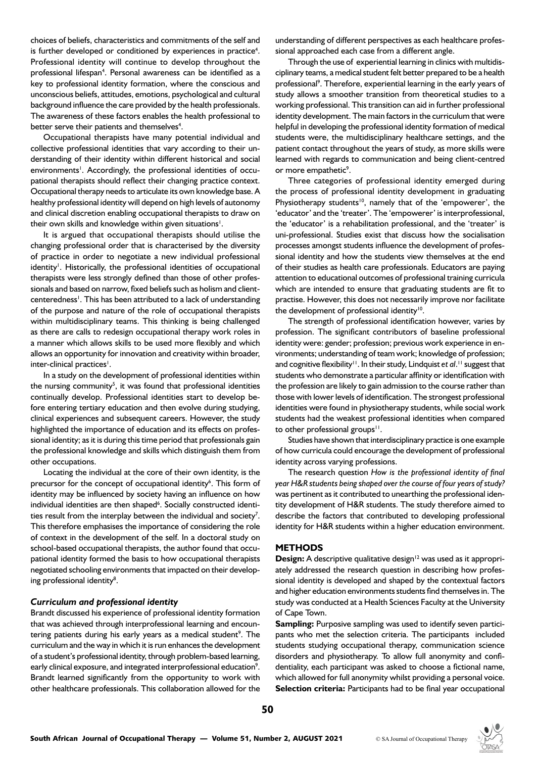choices of beliefs, characteristics and commitments of the self and is further developed or conditioned by experiences in practice<sup>4</sup>. Professional identity will continue to develop throughout the professional lifespan<sup>4</sup>. Personal awareness can be identified as a key to professional identity formation, where the conscious and unconscious beliefs, attitudes, emotions, psychological and cultural background influence the care provided by the health professionals. The awareness of these factors enables the health professional to better serve their patients and themselves<sup>4</sup>.

Occupational therapists have many potential individual and collective professional identities that vary according to their understanding of their identity within different historical and social environments<sup>1</sup>. Accordingly, the professional identities of occupational therapists should reflect their changing practice context. Occupational therapy needs to articulate its own knowledge base. A healthy professional identity will depend on high levels of autonomy and clinical discretion enabling occupational therapists to draw on their own skills and knowledge within given situations<sup>1</sup>.

It is argued that occupational therapists should utilise the changing professional order that is characterised by the diversity of practice in order to negotiate a new individual professional identity<sup>1</sup>. Historically, the professional identities of occupational therapists were less strongly defined than those of other professionals and based on narrow, fixed beliefs such as holism and clientcenteredness<sup>1</sup>. This has been attributed to a lack of understanding of the purpose and nature of the role of occupational therapists within multidisciplinary teams. This thinking is being challenged as there are calls to redesign occupational therapy work roles in a manner which allows skills to be used more flexibly and which allows an opportunity for innovation and creativity within broader, inter-clinical practices<sup>1</sup>.

In a study on the development of professional identities within the nursing community<sup>5</sup>, it was found that professional identities continually develop. Professional identities start to develop before entering tertiary education and then evolve during studying, clinical experiences and subsequent careers. However, the study highlighted the importance of education and its effects on professional identity; as it is during this time period that professionals gain the professional knowledge and skills which distinguish them from other occupations.

Locating the individual at the core of their own identity, is the precursor for the concept of occupational identity<sup>6</sup>. This form of identity may be influenced by society having an influence on how individual identities are then shaped<sup>6</sup>. Socially constructed identities result from the interplay between the individual and society<sup>7</sup>. This therefore emphasises the importance of considering the role of context in the development of the self. In a doctoral study on school-based occupational therapists, the author found that occupational identity formed the basis to how occupational therapists negotiated schooling environments that impacted on their developing professional identity<sup>8</sup>.

### *Curriculum and professional identity*

Brandt discussed his experience of professional identity formation that was achieved through interprofessional learning and encountering patients during his early years as a medical student<sup>9</sup>. The curriculum and the way in which it is run enhances the development of a student's professional identity, through problem-based learning, early clinical exposure, and integrated interprofessional education<sup>9</sup>. Brandt learned significantly from the opportunity to work with other healthcare professionals. This collaboration allowed for the

understanding of different perspectives as each healthcare professional approached each case from a different angle.

Through the use of experiential learning in clinics with multidisciplinary teams, a medical student felt better prepared to be a health professional<sup>9</sup>. Therefore, experiential learning in the early years of study allows a smoother transition from theoretical studies to a working professional. This transition can aid in further professional identity development. The main factors in the curriculum that were helpful in developing the professional identity formation of medical students were, the multidisciplinary healthcare settings, and the patient contact throughout the years of study, as more skills were learned with regards to communication and being client-centred or more empathetic<sup>9</sup>.

Three categories of professional identity emerged during the process of professional identity development in graduating Physiotherapy students<sup>10</sup>, namely that of the 'empowerer', the 'educator' and the 'treater'. The 'empowerer' is interprofessional, the 'educator' is a rehabilitation professional, and the 'treater' is uni-professional. Studies exist that discuss how the socialisation processes amongst students influence the development of professional identity and how the students view themselves at the end of their studies as health care professionals. Educators are paying attention to educational outcomes of professional training curricula which are intended to ensure that graduating students are fit to practise. However, this does not necessarily improve nor facilitate the development of professional identity<sup>10</sup>.

The strength of professional identification however, varies by profession. The significant contributors of baseline professional identity were: gender; profession; previous work experience in environments; understanding of team work; knowledge of profession; and cognitive flexibility<sup>11</sup>. In their study, Lindquist et al.<sup>11</sup> suggest that students who demonstrate a particular affinity or identification with the profession are likely to gain admission to the course rather than those with lower levels of identification. The strongest professional identities were found in physiotherapy students, while social work students had the weakest professional identities when compared to other professional groups $11$ .

Studies have shown that interdisciplinary practice is one example of how curricula could encourage the development of professional identity across varying professions.

The research question *How is the professional identity of final year H&R students being shaped over the course of four years of study?*  was pertinent as it contributed to unearthing the professional identity development of H&R students. The study therefore aimed to describe the factors that contributed to developing professional identity for H&R students within a higher education environment.

#### **METHODS**

**Design:** A descriptive qualitative design<sup>12</sup> was used as it appropriately addressed the research question in describing how professional identity is developed and shaped by the contextual factors and higher education environments students find themselves in. The study was conducted at a Health Sciences Faculty at the University of Cape Town.

**Sampling:** Purposive sampling was used to identify seven participants who met the selection criteria. The participants included students studying occupational therapy, communication science disorders and physiotherapy. To allow full anonymity and confidentiality, each participant was asked to choose a fictional name, which allowed for full anonymity whilst providing a personal voice. **Selection criteria:** Participants had to be final year occupational

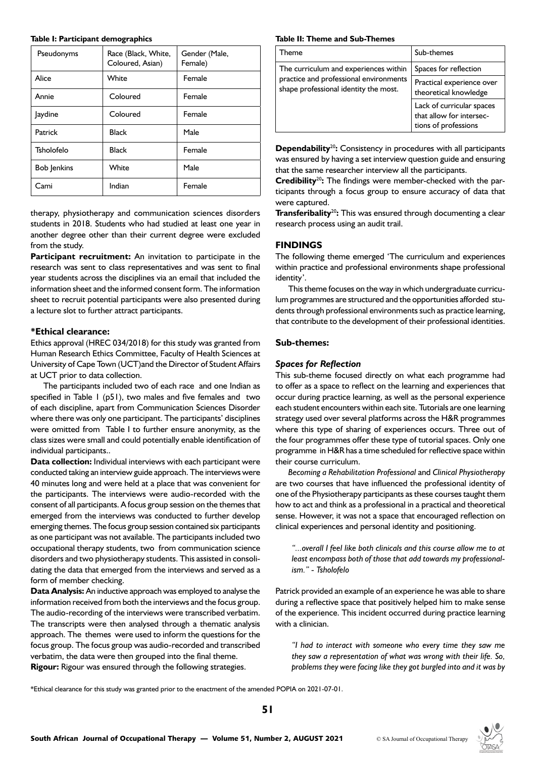#### **Table I: Participant demographics**

| Pseudonyms         | Race (Black, White,<br>Coloured, Asian) | Gender (Male,<br>Female) |
|--------------------|-----------------------------------------|--------------------------|
| Alice              | White                                   | Female                   |
| Annie              | Coloured                                | Female                   |
| Jaydine            | Coloured                                | Female                   |
| Patrick            | <b>Black</b>                            | Male                     |
| Tsholofelo         | <b>Black</b>                            | Female                   |
| <b>Bob Jenkins</b> | White                                   | Male                     |
| Cami               | Indian                                  | Female                   |

therapy, physiotherapy and communication sciences disorders students in 2018. Students who had studied at least one year in another degree other than their current degree were excluded from the study.

**Participant recruitment:** An invitation to participate in the research was sent to class representatives and was sent to final year students across the disciplines via an email that included the information sheet and the informed consent form. The information sheet to recruit potential participants were also presented during a lecture slot to further attract participants.

#### **\*Ethical clearance:**

Ethics approval (HREC 034/2018) for this study was granted from Human Research Ethics Committee, Faculty of Health Sciences at University of Cape Town (UCT)and the Director of Student Affairs at UCT prior to data collection.

The participants included two of each race and one Indian as specified in Table 1 (p51), two males and five females and two of each discipline, apart from Communication Sciences Disorder where there was only one participant. The participants' disciplines were omitted from Table I to further ensure anonymity, as the class sizes were small and could potentially enable identification of individual participants..

**Data collection:** Individual interviews with each participant were conducted taking an interview guide approach. The interviews were 40 minutes long and were held at a place that was convenient for the participants. The interviews were audio-recorded with the consent of all participants. A focus group session on the themes that emerged from the interviews was conducted to further develop emerging themes. The focus group session contained six participants as one participant was not available. The participants included two occupational therapy students, two from communication science disorders and two physiotherapy students. This assisted in consolidating the data that emerged from the interviews and served as a form of member checking.

**Data Analysis:** An inductive approach was employed to analyse the information received from both the interviews and the focus group. The audio-recording of the interviews were transcribed verbatim. The transcripts were then analysed through a thematic analysis approach. The themes were used to inform the questions for the focus group. The focus group was audio-recorded and transcribed verbatim, the data were then grouped into the final theme. **Rigour:** Rigour was ensured through the following strategies.

#### **Table II: Theme and Sub-Themes**

| Theme                                                                                                                    | Sub-themes                                                                    |
|--------------------------------------------------------------------------------------------------------------------------|-------------------------------------------------------------------------------|
| The curriculum and experiences within<br>practice and professional environments<br>shape professional identity the most. | Spaces for reflection                                                         |
|                                                                                                                          | Practical experience over<br>theoretical knowledge                            |
|                                                                                                                          | Lack of curricular spaces<br>that allow for intersec-<br>tions of professions |

**Dependability<sup>20</sup>:** Consistency in procedures with all participants was ensured by having a set interview question guide and ensuring that the same researcher interview all the participants.

**Credibility**<sup>20</sup>: The findings were member-checked with the participants through a focus group to ensure accuracy of data that were captured.

**Transferibality<sup>20</sup>:** This was ensured through documenting a clear research process using an audit trail.

### **FINDINGS**

The following theme emerged 'The curriculum and experiences within practice and professional environments shape professional identity'.

This theme focuses on the way in which undergraduate curriculum programmes are structured and the opportunities afforded students through professional environments such as practice learning, that contribute to the development of their professional identities.

#### **Sub-themes:**

### *Spaces for Reflection*

This sub-theme focused directly on what each programme had to offer as a space to reflect on the learning and experiences that occur during practice learning, as well as the personal experience each student encounters within each site. Tutorials are one learning strategy used over several platforms across the H&R programmes where this type of sharing of experiences occurs. Three out of the four programmes offer these type of tutorial spaces. Only one programme in H&R has a time scheduled for reflective space within their course curriculum.

*Becoming a Rehabilitation Professional* and *Clinical Physiotherapy* are two courses that have influenced the professional identity of one of the Physiotherapy participants as these courses taught them how to act and think as a professional in a practical and theoretical sense. However, it was not a space that encouraged reflection on clinical experiences and personal identity and positioning.

*"...overall I feel like both clinicals and this course allow me to at least encompass both of those that add towards my professionalism." - Tsholofelo* 

Patrick provided an example of an experience he was able to share during a reflective space that positively helped him to make sense of the experience. This incident occurred during practice learning with a clinician.

*"I had to interact with someone who every time they saw me they saw a representation of what was wrong with their life. So, problems they were facing like they got burgled into and it was by* 

\*Ethical clearance for this study was granted prior to the enactment of the amended POPIA on 2021-07-01.

**51**

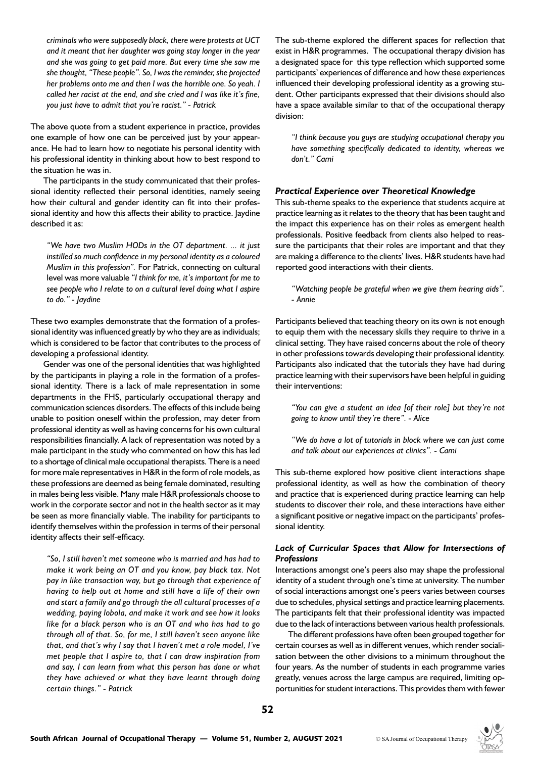*criminals who were supposedly black, there were protests at UCT and it meant that her daughter was going stay longer in the year and she was going to get paid more. But every time she saw me she thought, "These people". So, I was the reminder, she projected her problems onto me and then I was the horrible one. So yeah. I called her racist at the end, and she cried and I was like it's fine, you just have to admit that you're racist." - Patrick*

The above quote from a student experience in practice, provides one example of how one can be perceived just by your appearance. He had to learn how to negotiate his personal identity with his professional identity in thinking about how to best respond to the situation he was in.

The participants in the study communicated that their professional identity reflected their personal identities, namely seeing how their cultural and gender identity can fit into their professional identity and how this affects their ability to practice. Jaydine described it as:

*"We have two Muslim HODs in the OT department. ... it just instilled so much confidence in my personal identity as a coloured Muslim in this profession".* For Patrick, connecting on cultural level was more valuable *"I think for me, it's important for me to see people who I relate to on a cultural level doing what I aspire to do." - Jaydine* 

These two examples demonstrate that the formation of a professional identity was influenced greatly by who they are as individuals; which is considered to be factor that contributes to the process of developing a professional identity.

Gender was one of the personal identities that was highlighted by the participants in playing a role in the formation of a professional identity. There is a lack of male representation in some departments in the FHS, particularly occupational therapy and communication sciences disorders. The effects of this include being unable to position oneself within the profession, may deter from professional identity as well as having concerns for his own cultural responsibilities financially. A lack of representation was noted by a male participant in the study who commented on how this has led to a shortage of clinical male occupational therapists. There is a need for more male representatives in H&R in the form of role models, as these professions are deemed as being female dominated, resulting in males being less visible. Many male H&R professionals choose to work in the corporate sector and not in the health sector as it may be seen as more financially viable. The inability for participants to identify themselves within the profession in terms of their personal identity affects their self-efficacy.

*"So, I still haven't met someone who is married and has had to make it work being an OT and you know, pay black tax. Not pay in like transaction way, but go through that experience of having to help out at home and still have a life of their own and start a family and go through the all cultural processes of a wedding, paying lobola, and make it work and see how it looks like for a black person who is an OT and who has had to go through all of that. So, for me, I still haven't seen anyone like that, and that's why I say that I haven't met a role model, I've met people that I aspire to, that I can draw inspiration from and say, I can learn from what this person has done or what they have achieved or what they have learnt through doing certain things." - Patrick*

The sub-theme explored the different spaces for reflection that exist in H&R programmes. The occupational therapy division has a designated space for this type reflection which supported some participants' experiences of difference and how these experiences influenced their developing professional identity as a growing student. Other participants expressed that their divisions should also have a space available similar to that of the occupational therapy division:

*"I think because you guys are studying occupational therapy you have something specifically dedicated to identity, whereas we don't." Cami*

# *Practical Experience over Theoretical Knowledge*

This sub-theme speaks to the experience that students acquire at practice learning as it relates to the theory that has been taught and the impact this experience has on their roles as emergent health professionals. Positive feedback from clients also helped to reassure the participants that their roles are important and that they are making a difference to the clients' lives. H&R students have had reported good interactions with their clients.

*"Watching people be grateful when we give them hearing aids". - Annie*

Participants believed that teaching theory on its own is not enough to equip them with the necessary skills they require to thrive in a clinical setting. They have raised concerns about the role of theory in other professions towards developing their professional identity. Participants also indicated that the tutorials they have had during practice learning with their supervisors have been helpful in guiding their interventions:

*"You can give a student an idea [of their role] but they're not going to know until they're there". - Alice*

*"We do have a lot of tutorials in block where we can just come and talk about our experiences at clinics". - Cami*

This sub-theme explored how positive client interactions shape professional identity, as well as how the combination of theory and practice that is experienced during practice learning can help students to discover their role, and these interactions have either a significant positive or negative impact on the participants' professional identity.

# *Lack of Curricular Spaces that Allow for Intersections of Professions*

Interactions amongst one's peers also may shape the professional identity of a student through one's time at university. The number of social interactions amongst one's peers varies between courses due to schedules, physical settings and practice learning placements. The participants felt that their professional identity was impacted due to the lack of interactions between various health professionals.

The different professions have often been grouped together for certain courses as well as in different venues, which render socialisation between the other divisions to a minimum throughout the four years. As the number of students in each programme varies greatly, venues across the large campus are required, limiting opportunities for student interactions. This provides them with fewer

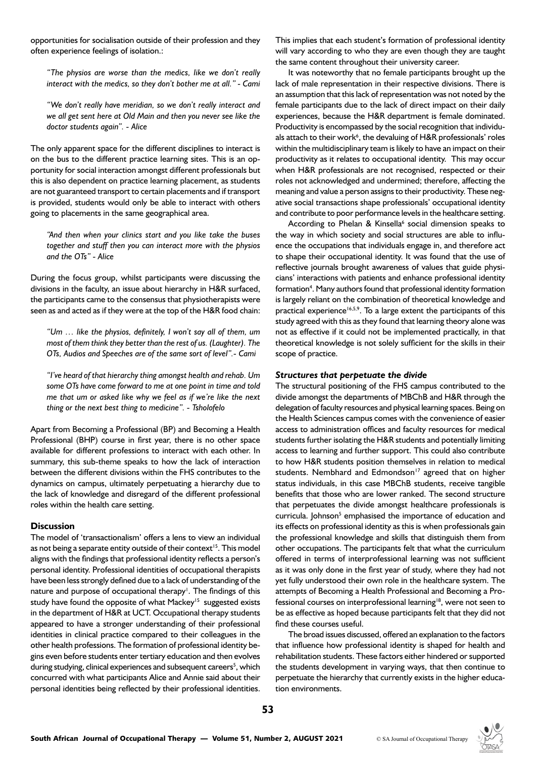opportunities for socialisation outside of their profession and they often experience feelings of isolation.:

*"The physios are worse than the medics, like we don't really interact with the medics, so they don't bother me at all." - Cami*

*"We don't really have meridian, so we don't really interact and we all get sent here at Old Main and then you never see like the doctor students again". - Alice*

The only apparent space for the different disciplines to interact is on the bus to the different practice learning sites. This is an opportunity for social interaction amongst different professionals but this is also dependent on practice learning placement, as students are not guaranteed transport to certain placements and if transport is provided, students would only be able to interact with others going to placements in the same geographical area.

*"And then when your clinics start and you like take the buses together and stuff then you can interact more with the physios and the OTs" - Alice*

During the focus group, whilst participants were discussing the divisions in the faculty, an issue about hierarchy in H&R surfaced, the participants came to the consensus that physiotherapists were seen as and acted as if they were at the top of the H&R food chain:

*"Um … like the physios, definitely, I won't say all of them, um most of them think they better than the rest of us. (Laughter). The OTs, Audios and Speeches are of the same sort of level".- Cami*

*"I've heard of that hierarchy thing amongst health and rehab. Um some OTs have come forward to me at one point in time and told me that um or asked like why we feel as if we're like the next thing or the next best thing to medicine". - Tsholofelo*

Apart from Becoming a Professional (BP) and Becoming a Health Professional (BHP) course in first year, there is no other space available for different professions to interact with each other. In summary, this sub-theme speaks to how the lack of interaction between the different divisions within the FHS contributes to the dynamics on campus, ultimately perpetuating a hierarchy due to the lack of knowledge and disregard of the different professional roles within the health care setting.

### **Discussion**

The model of 'transactionalism' offers a lens to view an individual as not being a separate entity outside of their context<sup>15</sup>. This model aligns with the findings that professional identity reflects a person's personal identity. Professional identities of occupational therapists have been less strongly defined due to a lack of understanding of the nature and purpose of occupational therapy<sup>1</sup>. The findings of this study have found the opposite of what Mackey<sup>15</sup> suggested exists in the department of H&R at UCT. Occupational therapy students appeared to have a stronger understanding of their professional identities in clinical practice compared to their colleagues in the other health professions. The formation of professional identity begins even before students enter tertiary education and then evolves during studying, clinical experiences and subsequent careers<sup>5</sup>, which concurred with what participants Alice and Annie said about their personal identities being reflected by their professional identities.

This implies that each student's formation of professional identity will vary according to who they are even though they are taught the same content throughout their university career.

It was noteworthy that no female participants brought up the lack of male representation in their respective divisions. There is an assumption that this lack of representation was not noted by the female participants due to the lack of direct impact on their daily experiences, because the H&R department is female dominated. Productivity is encompassed by the social recognition that individuals attach to their work<sup>6</sup>, the devaluing of H&R professionals' roles within the multidisciplinary team is likely to have an impact on their productivity as it relates to occupational identity. This may occur when H&R professionals are not recognised, respected or their roles not acknowledged and undermined; therefore, affecting the meaning and value a person assigns to their productivity. These negative social transactions shape professionals' occupational identity and contribute to poor performance levels in the healthcare setting.

According to Phelan & Kinsella<sup>6</sup> social dimension speaks to the way in which society and social structures are able to influence the occupations that individuals engage in, and therefore act to shape their occupational identity. It was found that the use of reflective journals brought awareness of values that guide physicians' interactions with patients and enhance professional identity formation<sup>4</sup>. Many authors found that professional identity formation is largely reliant on the combination of theoretical knowledge and practical experience<sup>16,5,9</sup>. To a large extent the participants of this study agreed with this as they found that learning theory alone was not as effective if it could not be implemented practically, in that theoretical knowledge is not solely sufficient for the skills in their scope of practice.

### *Structures that perpetuate the divide*

The structural positioning of the FHS campus contributed to the divide amongst the departments of MBChB and H&R through the delegation of faculty resources and physical learning spaces. Being on the Health Sciences campus comes with the convenience of easier access to administration offices and faculty resources for medical students further isolating the H&R students and potentially limiting access to learning and further support. This could also contribute to how H&R students position themselves in relation to medical students. Nembhard and Edmondson<sup>17</sup> agreed that on higher status individuals, in this case MBChB students, receive tangible benefits that those who are lower ranked. The second structure that perpetuates the divide amongst healthcare professionals is curricula. Johnson<sup>5</sup> emphasised the importance of education and its effects on professional identity as this is when professionals gain the professional knowledge and skills that distinguish them from other occupations. The participants felt that what the curriculum offered in terms of interprofessional learning was not sufficient as it was only done in the first year of study, where they had not yet fully understood their own role in the healthcare system. The attempts of Becoming a Health Professional and Becoming a Professional courses on interprofessional learning<sup>18</sup>, were not seen to be as effective as hoped because participants felt that they did not find these courses useful.

The broad issues discussed, offered an explanation to the factors that influence how professional identity is shaped for health and rehabilitation students. These factors either hindered or supported the students development in varying ways, that then continue to perpetuate the hierarchy that currently exists in the higher education environments.